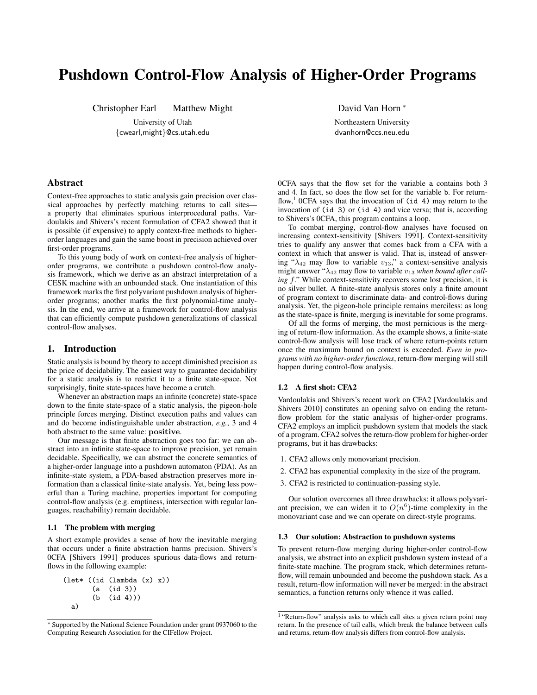# Pushdown Control-Flow Analysis of Higher-Order Programs

Christopher Earl Matthew Might

University of Utah {cwearl,might}@cs.utah.edu David Van Horn <sup>∗</sup>

Northeastern University dvanhorn@ccs.neu.edu

# Abstract

Context-free approaches to static analysis gain precision over classical approaches by perfectly matching returns to call sites a property that eliminates spurious interprocedural paths. Vardoulakis and Shivers's recent formulation of CFA2 showed that it is possible (if expensive) to apply context-free methods to higherorder languages and gain the same boost in precision achieved over first-order programs.

To this young body of work on context-free analysis of higherorder programs, we contribute a pushdown control-flow analysis framework, which we derive as an abstract interpretation of a CESK machine with an unbounded stack. One instantiation of this framework marks the first polyvariant pushdown analysis of higherorder programs; another marks the first polynomial-time analysis. In the end, we arrive at a framework for control-flow analysis that can efficiently compute pushdown generalizations of classical control-flow analyses.

# 1. Introduction

Static analysis is bound by theory to accept diminished precision as the price of decidability. The easiest way to guarantee decidability for a static analysis is to restrict it to a finite state-space. Not surprisingly, finite state-spaces have become a crutch.

Whenever an abstraction maps an infinite (concrete) state-space down to the finite state-space of a static analysis, the pigeon-hole principle forces merging. Distinct execution paths and values can and do become indistinguishable under abstraction, *e.g.*, 3 and 4 both abstract to the same value: positive.

Our message is that finite abstraction goes too far: we can abstract into an infinite state-space to improve precision, yet remain decidable. Specifically, we can abstract the concrete semantics of a higher-order language into a pushdown automaton (PDA). As an infinite-state system, a PDA-based abstraction preserves more information than a classical finite-state analysis. Yet, being less powerful than a Turing machine, properties important for computing control-flow analysis (e.g. emptiness, intersection with regular languages, reachability) remain decidable.

## 1.1 The problem with merging

A short example provides a sense of how the inevitable merging that occurs under a finite abstraction harms precision. Shivers's 0CFA [\[Shivers](#page-11-0) [1991\]](#page-11-0) produces spurious data-flows and returnflows in the following example:

```
(let* ((id (lambda (x) x))
       (a (id 3))
       (b (id 4)))
 a)
```
0CFA says that the flow set for the variable a contains both 3 and 4. In fact, so does the flow set for the variable b. For return-flow,<sup>[1](#page-0-0)</sup> OCFA says that the invocation of  $(id 4)$  may return to the invocation of (id 3) or (id 4) and vice versa; that is, according to Shivers's 0CFA, this program contains a loop.

To combat merging, control-flow analyses have focused on increasing context-sensitivity [\[Shivers](#page-11-0) [1991\]](#page-11-0). Context-sensitivity tries to qualify any answer that comes back from a CFA with a context in which that answer is valid. That is, instead of answering " $\lambda_{42}$  may flow to variable  $v_{13}$ ," a context-sensitive analysis might answer " $\lambda_{42}$  may flow to variable  $v_{13}$  *when bound after calling* f." While context-sensitivity recovers some lost precision, it is no silver bullet. A finite-state analysis stores only a finite amount of program context to discriminate data- and control-flows during analysis. Yet, the pigeon-hole principle remains merciless: as long as the state-space is finite, merging is inevitable for some programs.

Of all the forms of merging, the most pernicious is the merging of return-flow information. As the example shows, a finite-state control-flow analysis will lose track of where return-points return once the maximum bound on context is exceeded. *Even in programs with no higher-order functions*, return-flow merging will still happen during control-flow analysis.

# 1.2 A first shot: CFA2

Vardoulakis and Shivers's recent work on CFA2 [\[Vardoulakis and](#page-11-1) [Shivers](#page-11-1) [2010\]](#page-11-1) constitutes an opening salvo on ending the returnflow problem for the static analysis of higher-order programs. CFA2 employs an implicit pushdown system that models the stack of a program. CFA2 solves the return-flow problem for higher-order programs, but it has drawbacks:

- 1. CFA2 allows only monovariant precision.
- 2. CFA2 has exponential complexity in the size of the program.
- 3. CFA2 is restricted to continuation-passing style.

Our solution overcomes all three drawbacks: it allows polyvariant precision, we can widen it to  $O(n^6)$ -time complexity in the monovariant case and we can operate on direct-style programs.

## 1.3 Our solution: Abstraction to pushdown systems

To prevent return-flow merging during higher-order control-flow analysis, we abstract into an explicit pushdown system instead of a finite-state machine. The program stack, which determines returnflow, will remain unbounded and become the pushdown stack. As a result, return-flow information will never be merged: in the abstract semantics, a function returns only whence it was called.

<sup>∗</sup> Supported by the National Science Foundation under grant 0937060 to the Computing Research Association for the CIFellow Project.

<span id="page-0-0"></span><sup>&</sup>lt;sup>1</sup> "Return-flow" analysis asks to which call sites a given return point may return. In the presence of tail calls, which break the balance between calls and returns, return-flow analysis differs from control-flow analysis.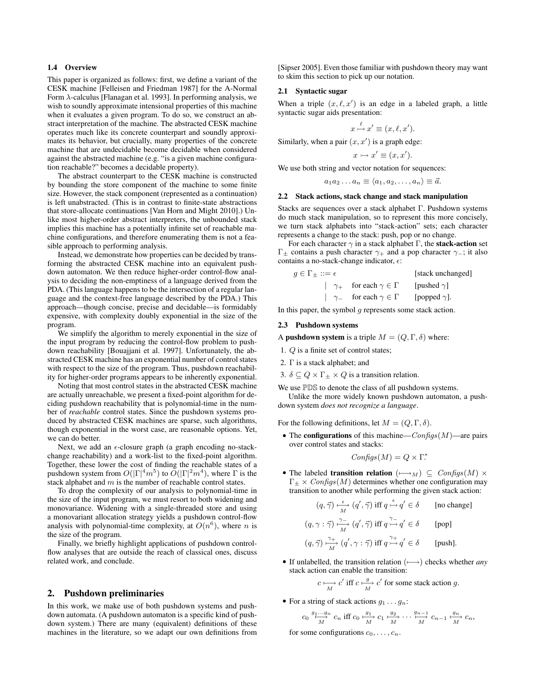# 1.4 Overview

This paper is organized as follows: first, we define a variant of the CESK machine [\[Felleisen and Friedman](#page-11-2) [1987\]](#page-11-2) for the A-Normal Form  $\lambda$ -calculus [\[Flanagan et al.](#page-11-3) [1993\]](#page-11-3). In performing analysis, we wish to soundly approximate intensional properties of this machine when it evaluates a given program. To do so, we construct an abstract interpretation of the machine. The abstracted CESK machine operates much like its concrete counterpart and soundly approximates its behavior, but crucially, many properties of the concrete machine that are undecidable become decidable when considered against the abstracted machine (e.g. "is a given machine configuration reachable?" becomes a decidable property).

The abstract counterpart to the CESK machine is constructed by bounding the store component of the machine to some finite size. However, the stack component (represented as a continuation) is left unabstracted. (This is in contrast to finite-state abstractions that store-allocate continuations [\[Van Horn and Might](#page-11-4) [2010\]](#page-11-4).) Unlike most higher-order abstract interpreters, the unbounded stack implies this machine has a potentially infinite set of reachable machine configurations, and therefore enumerating them is not a feasible approach to performing analysis.

Instead, we demonstrate how properties can be decided by transforming the abstracted CESK machine into an equivalent pushdown automaton. We then reduce higher-order control-flow analysis to deciding the non-emptiness of a language derived from the PDA. (This language happens to be the intersection of a regular language and the context-free language described by the PDA.) This approach—though concise, precise and decidable—is formidably expensive, with complexity doubly exponential in the size of the program.

We simplify the algorithm to merely exponential in the size of the input program by reducing the control-flow problem to pushdown reachability [\[Bouajjani et al.](#page-11-5) [1997\]](#page-11-5). Unfortunately, the abstracted CESK machine has an exponential number of control states with respect to the size of the program. Thus, pushdown reachability for higher-order programs appears to be inherently exponential.

Noting that most control states in the abstracted CESK machine are actually unreachable, we present a fixed-point algorithm for deciding pushdown reachability that is polynomial-time in the number of *reachable* control states. Since the pushdown systems produced by abstracted CESK machines are sparse, such algorithms, though exponential in the worst case, are reasonable options. Yet, we can do better.

Next, we add an  $\epsilon$ -closure graph (a graph encoding no-stackchange reachability) and a work-list to the fixed-point algorithm. Together, these lower the cost of finding the reachable states of a pushdown system from  $O(|\Gamma|^4 m^5)$  to  $O(|\Gamma|^2 m^4)$ , where  $\Gamma$  is the stack alphabet and  $m$  is the number of reachable control states.

To drop the complexity of our analysis to polynomial-time in the size of the input program, we must resort to both widening and monovariance. Widening with a single-threaded store and using a monovariant allocation strategy yields a pushdown control-flow analysis with polynomial-time complexity, at  $O(n^6)$ , where n is the size of the program.

Finally, we briefly highlight applications of pushdown controlflow analyses that are outside the reach of classical ones, discuss related work, and conclude.

# 2. Pushdown preliminaries

In this work, we make use of both pushdown systems and pushdown automata. (A pushdown automaton is a specific kind of pushdown system.) There are many (equivalent) definitions of these machines in the literature, so we adapt our own definitions from

[\[Sipser](#page-11-6) [2005\]](#page-11-6). Even those familiar with pushdown theory may want to skim this section to pick up our notation.

# 2.1 Syntactic sugar

When a triple  $(x, \ell, x')$  is an edge in a labeled graph, a little syntactic sugar aids presentation:

$$
x \stackrel{\ell}{\rightarrowtail} x' \equiv (x, \ell, x').
$$

Similarly, when a pair  $(x, x')$  is a graph edge:

$$
x \rightarrowtail x' \equiv (x, x').
$$

We use both string and vector notation for sequences:

$$
a_1 a_2 \ldots a_n \equiv \langle a_1, a_2, \ldots, a_n \rangle \equiv \vec{a}.
$$

## 2.2 Stack actions, stack change and stack manipulation

Stacks are sequences over a stack alphabet Γ. Pushdown systems do much stack manipulation, so to represent this more concisely, we turn stack alphabets into "stack-action" sets; each character represents a change to the stack: push, pop or no change.

For each character  $\gamma$  in a stack alphabet Γ, the **stack-action** set  $Γ_+$  contains a push character  $γ_+$  and a pop character  $γ_-'$ ; it also contains a no-stack-change indicator,  $\epsilon$ :

$$
g \in \Gamma_{\pm} ::= \epsilon \qquad \qquad [\text{stack unchanged}]
$$
  
 
$$
| \quad \gamma_{+} \quad \text{for each } \gamma \in \Gamma \qquad [\text{pushed } \gamma]
$$
  
 
$$
| \quad \gamma_{-} \quad \text{for each } \gamma \in \Gamma \qquad [\text{papped } \gamma].
$$

In this paper, the symbol  $q$  represents some stack action.

#### 2.3 Pushdown systems

A **pushdown system** is a triple  $M = (Q, \Gamma, \delta)$  where:

- 1. Q is a finite set of control states;
- 2. Γ is a stack alphabet; and
- 3.  $\delta \subseteq Q \times \Gamma_{\pm} \times Q$  is a transition relation.

We use  $PDS$  to denote the class of all pushdown systems.

Unlike the more widely known pushdown automaton, a pushdown system *does not recognize a language*.

For the following definitions, let  $M = (Q, \Gamma, \delta)$ .

• The **configurations** of this machine— $Configs(M)$ —are pairs over control states and stacks:

$$
Configs(M) = Q \times \Gamma^*
$$

• The labeled **transition relation**  $(\rightarrowtail_M) \subseteq Configs(M) \times$  $\Gamma_{\pm} \times Configs(M)$  determines whether one configuration may transition to another while performing the given stack action:

$$
(q, \vec{\gamma}) \xrightarrow[M]{\epsilon} (q', \vec{\gamma}) \text{ iff } q \xrightarrow{\epsilon} q' \in \delta \qquad \text{[no change]}
$$
  

$$
(q, \gamma : \vec{\gamma}) \xrightarrow[M]{\gamma -} \gamma \atop M} (q', \vec{\gamma}) \text{ iff } q \xrightarrow{\gamma -} q' \in \delta \qquad \text{[pop]}
$$
  

$$
(q, \vec{\gamma}) \xrightarrow[M]{\gamma +} (q', \gamma : \vec{\gamma}) \text{ iff } q \xrightarrow{\gamma +} q' \in \delta \qquad \text{[push]}.
$$

• If unlabelled, the transition relation (7−→) checks whether *any* stack action can enable the transition:

$$
c \xrightarrow[M]{} c'
$$
 iff  $c \xrightarrow[M]{} c'$  for some stack action g.

• For a string of stack actions  $g_1 \ldots g_n$ :

$$
c_0 \xrightarrow[M]{g_1 \dots g_n} c_n \text{ iff } c_0 \xrightarrow[M]{g_1} c_1 \xrightarrow[M]{g_2} \cdots \xrightarrow[M]{g_{n-1}} c_{n-1} \xrightarrow[M]{g_n} c_n,
$$

for some configurations  $c_0, \ldots, c_n$ .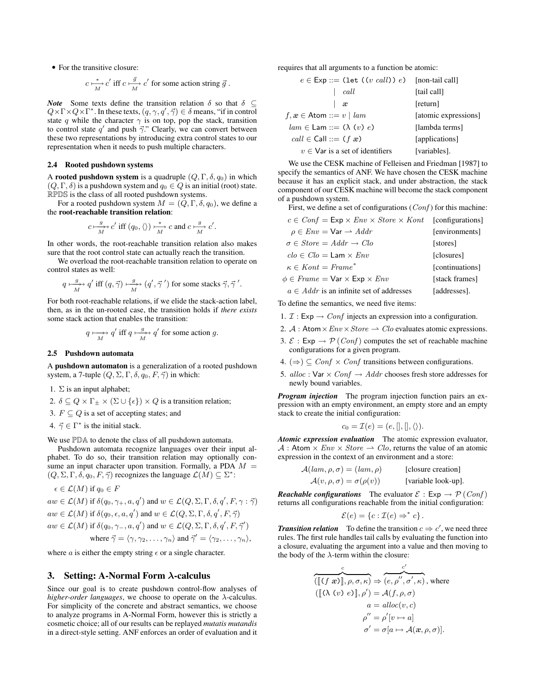• For the transitive closure:

$$
c \xrightarrow[M]{} c'
$$
 iff  $c \xrightarrow[M]{} c'$  for some action string  $\vec{g}$ .

*Note* Some texts define the transition relation  $\delta$  so that  $\delta \subseteq$  $Q \times \Gamma \times Q \times \Gamma^*$ . In these texts,  $(q, \gamma, q', \vec{\gamma}) \in \delta$  means, "if in control state q while the character  $\gamma$  is on top, pop the stack, transition to control state q' and push  $\vec{\gamma}$ ." Clearly, we can convert between these two representations by introducing extra control states to our representation when it needs to push multiple characters.

## 2.4 Rooted pushdown systems

A rooted pushdown system is a quadruple  $(Q, \Gamma, \delta, q_0)$  in which  $(Q, \Gamma, \delta)$  is a pushdown system and  $q_0 \in Q$  is an initial (root) state. RPDS is the class of all rooted pushdown systems.

For a rooted pushdown system  $M = (Q, \Gamma, \delta, q_0)$ , we define a the root-reachable transition relation:

$$
c \xrightarrow[M]{} c'
$$
 iff  $(q_0, \langle \rangle) \xrightarrow[M]{} c$  and  $c \xrightarrow[M]{} c'$ .

In other words, the root-reachable transition relation also makes sure that the root control state can actually reach the transition.

We overload the root-reachable transition relation to operate on control states as well:

$$
q\longmapsto\hspace{-3.5pt}\frac{g}{M}\hspace{-3.5pt}\rightarrow q'\text{ iff }(q,\vec{\gamma})\longmapsto\hspace{-3.5pt}\frac{g}{M}\hspace{-3.5pt}\rightarrow (q',\vec{\gamma}~')\text{ for some stacks }\vec{\gamma},\vec{\gamma}~'.
$$

For both root-reachable relations, if we elide the stack-action label, then, as in the un-rooted case, the transition holds if *there exists* some stack action that enables the transition:

$$
q \mapsto q'
$$
 iff  $q \mapsto \frac{g}{M}$  for some action g.

## 2.5 Pushdown automata

A pushdown automaton is a generalization of a rooted pushdown system, a 7-tuple  $(Q, \Sigma, \Gamma, \delta, q_0, F, \vec{\gamma})$  in which:

1.  $\Sigma$  is an input alphabet;

- 2.  $\delta \subseteq Q \times \Gamma_{\pm} \times (\Sigma \cup {\epsilon}) \times Q$  is a transition relation;
- 3.  $F \subseteq Q$  is a set of accepting states; and
- 4.  $\vec{\gamma} \in \Gamma^*$  is the initial stack.

We use  $\mathbb{P} \mathbb{D} \mathbb{A}$  to denote the class of all pushdown automata.

Pushdown automata recognize languages over their input alphabet. To do so, their transition relation may optionally consume an input character upon transition. Formally, a PDA  $M =$  $(Q, \Sigma, \Gamma, \delta, q_0, F, \vec{\gamma})$  recognizes the language  $\mathcal{L}(M) \subseteq \Sigma^*$ :

$$
\epsilon \in \mathcal{L}(M) \text{ if } q_0 \in F
$$
  
\n
$$
aw \in \mathcal{L}(M) \text{ if } \delta(q_0, \gamma_+, a, q') \text{ and } w \in \mathcal{L}(Q, \Sigma, \Gamma, \delta, q', F, \gamma : \vec{\gamma})
$$
  
\n
$$
aw \in \mathcal{L}(M) \text{ if } \delta(q_0, \epsilon, a, q') \text{ and } w \in \mathcal{L}(Q, \Sigma, \Gamma, \delta, q', F, \vec{\gamma})
$$
  
\n
$$
aw \in \mathcal{L}(M) \text{ if } \delta(q_0, \gamma_-, a, q') \text{ and } w \in \mathcal{L}(Q, \Sigma, \Gamma, \delta, q', F, \vec{\gamma}')
$$
  
\nwhere  $\vec{\gamma} = \langle \gamma, \gamma_2, \dots, \gamma_n \rangle$  and  $\vec{\gamma}' = \langle \gamma_2, \dots, \gamma_n \rangle$ ,

where *a* is either the empty string  $\epsilon$  or a single character.

## 3. Setting: A-Normal Form  $\lambda$ -calculus

Since our goal is to create pushdown control-flow analyses of *higher-order languages*, we choose to operate on the λ-calculus. For simplicity of the concrete and abstract semantics, we choose to analyze programs in A-Normal Form, however this is strictly a cosmetic choice; all of our results can be replayed *mutatis mutandis* in a direct-style setting. ANF enforces an order of evaluation and it requires that all arguments to a function be atomic:

| $e \in \textsf{Exp} ::= (\textsf{let} ((v \text{ call})) e)$ [non-tail call] |                      |
|------------------------------------------------------------------------------|----------------------|
| call                                                                         | [tail call]          |
| æ                                                                            | [return]             |
| $f, x \in \text{Atom} ::= v \mid \text{lam}$                                 | [atomic expressions] |
| $lam \in Lam ::= (\lambda (v) e)$                                            | [lambda terms]       |
| $call \in Call ::= (f \times e)$                                             | [applications]       |
| $v \in V$ ar is a set of identifiers                                         | [variables].         |

We use the CESK machine of [Felleisen and Friedman](#page-11-2) [\[1987\]](#page-11-2) to specify the semantics of ANF. We have chosen the CESK machine because it has an explicit stack, and under abstraction, the stack component of our CESK machine will become the stack component of a pushdown system.

First, we define a set of configurations  $(Conf)$  for this machine:

| $c \in Conf = \textsf{Exp} \times Env \times Store \times Kont$ [configurations] |                 |
|----------------------------------------------------------------------------------|-----------------|
| $\rho \in Env = \text{Var} \rightarrow Addr$                                     | [environments]  |
| $\sigma \in Store = Addr \rightarrow Clo$                                        | [stores]        |
| $clo \in Clo = Lam \times Env$                                                   | [closures]      |
| $\kappa \in$ Kont = Frame*                                                       | [continuations] |
| $\phi \in \mathit{Frame} = \mathsf{Var} \times \mathsf{Exp} \times \mathit{Env}$ | [stack frames]  |
| $a \in Addr$ is an infinite set of addresses                                     | [addresses].    |

To define the semantics, we need five items:

- 1.  $\mathcal{I}: \mathsf{Exp} \to \mathit{Conf}$  injects an expression into a configuration.
- 2. A : Atom  $\times Env \times Store \rightarrow Clo$  evaluates atomic expressions.
- 3.  $\mathcal{E}: \mathsf{Exp} \to \mathcal{P}(\mathit{Conf})$  computes the set of reachable machine configurations for a given program.
- 4.  $(\Rightarrow) \subseteq Conf \times Conf$  transitions between configurations.
- 5. alloc: Var  $\times$  Conf  $\rightarrow$  Addr chooses fresh store addresses for newly bound variables.

*Program injection* The program injection function pairs an expression with an empty environment, an empty store and an empty stack to create the initial configuration:

$$
c_0 = \mathcal{I}(e) = (e,[],[],\langle\rangle).
$$

*Atomic expression evaluation* The atomic expression evaluator,  $A:$  Atom  $\times$  *Env*  $\times$  *Store*  $\rightarrow$  *Clo*, returns the value of an atomic expression in the context of an environment and a store:

$$
\mathcal{A}(lam, \rho, \sigma) = (lam, \rho) \qquad \text{[closure creation]}
$$

$$
\mathcal{A}(v, \rho, \sigma) = \sigma(\rho(v)) \qquad \text{[variable look-up]}.
$$

*Reachable configurations* The evaluator  $\mathcal{E}: \mathsf{Exp} \to \mathcal{P}(\mathit{Conf})$ returns all configurations reachable from the initial configuration:

$$
\mathcal{E}(e) = \{c : \mathcal{I}(e) \Rightarrow^* c\}.
$$

**Transition relation** To define the transition  $c \Rightarrow c'$ , we need three rules. The first rule handles tail calls by evaluating the function into a closure, evaluating the argument into a value and then moving to the body of the  $\lambda$ -term within the closure:

$$
\overbrace{([\lbrack (f \ x \ rbrack \rbrack, \rho, \sigma, \kappa)}^c \Rightarrow \overbrace{(e, \rho'', \sigma', \kappa)}^c, \text{ where }
$$
\n
$$
([\lbrack (\lambda(v) e) \rbrack, \rho') = \mathcal{A}(f, \rho, \sigma)
$$
\n
$$
a = \text{alloc}(v, c)
$$
\n
$$
\rho'' = \rho'[v \mapsto a]
$$
\n
$$
\sigma' = \sigma[a \mapsto \mathcal{A}(x, \rho, \sigma)].
$$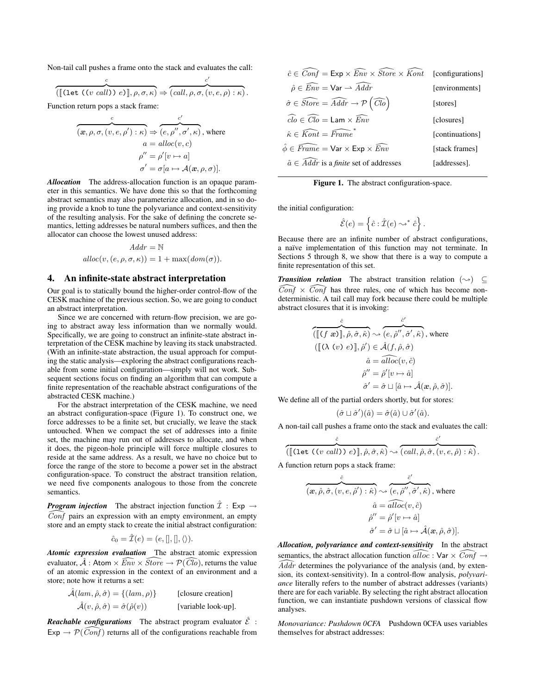Non-tail call pushes a frame onto the stack and evaluates the call:

$$
\overbrace{(\llbracket (\text{let } ((v \text{ call})) e) \rrbracket, \rho, \sigma, \kappa)}^c \Rightarrow \overbrace{(call, \rho, \sigma, (v, e, \rho) : \kappa)}^c.
$$

Function return pops a stack frame:

$$
\overbrace{(x,\rho,\sigma,(v,e,\rho'): \kappa) \Rightarrow (e,\rho'',\sigma',\kappa), \text{ where } \alpha = \text{alloc}(v,c)
$$

$$
\rho'' = \rho'[v \mapsto a]
$$

$$
\sigma' = \sigma[a \mapsto \mathcal{A}(x,\rho,\sigma)].
$$

*Allocation* The address-allocation function is an opaque parameter in this semantics. We have done this so that the forthcoming abstract semantics may also parameterize allocation, and in so doing provide a knob to tune the polyvariance and context-sensitivity of the resulting analysis. For the sake of defining the concrete semantics, letting addresses be natural numbers suffices, and then the allocator can choose the lowest unused address:

$$
Addr = \mathbb{N}
$$

$$
alloc(v, (e, \rho, \sigma, \kappa)) = 1 + max(dom(\sigma)).
$$

# <span id="page-3-1"></span>4. An infinite-state abstract interpretation

Our goal is to statically bound the higher-order control-flow of the CESK machine of the previous section. So, we are going to conduct an abstract interpretation.

Since we are concerned with return-flow precision, we are going to abstract away less information than we normally would. Specifically, we are going to construct an infinite-state abstract interpretation of the CESK machine by leaving its stack unabstracted. (With an infinite-state abstraction, the usual approach for computing the static analysis—exploring the abstract configurations reachable from some initial configuration—simply will not work. Subsequent sections focus on finding an algorithm that can compute a finite representation of the reachable abstract configurations of the abstracted CESK machine.)

For the abstract interpretation of the CESK machine, we need an abstract configuration-space (Figure [1\)](#page-3-0). To construct one, we force addresses to be a finite set, but crucially, we leave the stack untouched. When we compact the set of addresses into a finite set, the machine may run out of addresses to allocate, and when it does, the pigeon-hole principle will force multiple closures to reside at the same address. As a result, we have no choice but to force the range of the store to become a power set in the abstract configuration-space. To construct the abstract transition relation, we need five components analogous to those from the concrete semantics.

*Program injection* The abstract injection function  $\hat{\mathcal{I}}$  : Exp  $\rightarrow$  $\widehat{Conf}$  pairs an expression with an empty environment, an empty store and an empty stack to create the initial abstract configuration:

$$
\hat{c}_0 = \hat{\mathcal{I}}(e) = (e,[],[],\langle\rangle).
$$

*Atomic expression evaluation* The abstract atomic expression evaluator,  $\hat{A}$  : Atom  $\times$   $\widehat{Env} \times \widehat{Store} \rightarrow \mathcal{P}(\widehat{Cl_0})$ , returns the value of an atomic expression in the context of an environment and a store; note how it returns a set:

 $\hat{\mathcal{A}}(lam, \hat{\rho}, \hat{\sigma}) = \{ (lam, \rho) \}$  [closure creation]  $\hat{\mathcal{A}}(v, \hat{\rho}, \hat{\sigma}) = \hat{\sigma}(\hat{\rho}(v))$  [variable look-up].

*Reachable configurations* The abstract program evaluator  $\hat{\mathcal{E}}$  :  $Exp \rightarrow \mathcal{P}(\widehat{Conf})$  returns all of the configurations reachable from

| $\hat{c} \in \overline{Conf} = \text{Exp} \times \widehat{Env} \times \widehat{Store} \times \widehat{Kont}$ [configurations] |                 |
|-------------------------------------------------------------------------------------------------------------------------------|-----------------|
| $\hat{\rho} \in \widehat{Env} = \textsf{Var} \rightarrow \widehat{Addr}$                                                      | [environments]  |
| $\hat{\sigma} \in \widehat{Store} = \widehat{Addr} \rightarrow \mathcal{P}(\widehat{Clo})$                                    | [stores]        |
| $\widehat{clo} \in \widehat{Clo} = \textsf{Lam} \times \widehat{Env}$                                                         | [closures]      |
| $\hat{\kappa} \in \widehat{Kont} = \widehat{Frame}$                                                                           | [continuations] |
| $\hat{\phi} \in \widehat{Frame} = \textsf{Var} \times \textsf{Exp} \times \widehat{Env}$                                      | [stack frames]  |
| $\hat{a} \in Addr$ is a <i>finite</i> set of addresses                                                                        | [addresses].    |
|                                                                                                                               |                 |

<span id="page-3-0"></span>Figure 1. The abstract configuration-space.

the initial configuration:

$$
\hat{\mathcal{E}}(e) = \left\{\hat{c} : \hat{\mathcal{I}}(e) \leadsto^* \hat{c}\right\}
$$

.

Because there are an infinite number of abstract configurations, a naïve implementation of this function may not terminate. In Sections [5](#page-4-0) through [8,](#page-6-0) we show that there is a way to compute a finite representation of this set.

*Transition relation* The abstract transition relation  $(\rightarrow)$  ⊆  $\widehat{Conf} \times \widehat{Conf}$  has three rules, one of which has become nondeterministic. A tail call may fork because there could be multiple abstract closures that it is invoking:

$$
\frac{\hat{c}}{\left(\left[\!\left[ (f \ x)\right]\!\right], \hat{\rho}, \hat{\sigma}, \hat{\kappa} \right)} \rightsquigarrow \frac{\hat{c}'}{\left(e, \hat{\rho}'', \hat{\sigma}', \hat{\kappa}\right)}, \text{ where}
$$
\n
$$
\left(\left[\!\left[ (\lambda \ (v) \ e)\right]\!\right], \hat{\rho}' \right) \in \hat{\mathcal{A}}(f, \hat{\rho}, \hat{\sigma})
$$
\n
$$
\hat{a} = \overline{alloc}(v, \hat{c})
$$
\n
$$
\hat{\rho}'' = \hat{\rho}'[v \mapsto \hat{a}]
$$
\n
$$
\hat{\sigma}' = \hat{\sigma} \sqcup [\hat{a} \mapsto \hat{\mathcal{A}}(x, \hat{\rho}, \hat{\sigma})].
$$

We define all of the partial orders shortly, but for stores:

$$
(\hat{\sigma} \sqcup \hat{\sigma}')(\hat{a}) = \hat{\sigma}(\hat{a}) \cup \hat{\sigma}'(\hat{a}).
$$

A non-tail call pushes a frame onto the stack and evaluates the call:

$$
\overbrace{(\llbracket (\text{let } ((v \text{ call})) e) \rrbracket, \hat{\rho}, \hat{\sigma}, \hat{\kappa})}^{\hat{c}} \rightsquigarrow \overbrace{(call, \hat{\rho}, \hat{\sigma}, (v, e, \hat{\rho}) : \hat{\kappa})}^{\hat{c}'}.
$$

A function return pops a stack frame:

$$
\overbrace{(\mathbf{x}, \hat{\rho}, \hat{\sigma}, (\mathbf{v}, e, \hat{\rho}'): \hat{\kappa}) \rightsquigarrow (\overbrace{e, \hat{\rho}''}_{\hat{\rho}, \hat{\sigma}', \hat{\kappa})}^{\hat{c}'}, \text{ where }}
$$
\n
$$
\hat{a} = \overbrace{alloc(v, \hat{c})}_{\hat{\rho}'' = \hat{\rho}'[v \rightarrow \hat{a}]}
$$
\n
$$
\hat{\sigma}' = \hat{\sigma} \sqcup [\hat{a} \mapsto \hat{\mathcal{A}}(\mathbf{x}, \hat{\rho}, \hat{\sigma})].
$$

*Allocation, polyvariance and context-sensitivity* In the abstract semantics, the abstract allocation function  $\widehat{alloc} : \mathsf{Var} \times \widehat{Conf} \rightarrow$  $\widehat{A}d\widehat{dr}$  determines the polyvariance of the analysis (and, by extension, its context-sensitivity). In a control-flow analysis, *polyvariance* literally refers to the number of abstract addresses (variants) there are for each variable. By selecting the right abstract allocation function, we can instantiate pushdown versions of classical flow analyses.

*Monovariance: Pushdown 0CFA* Pushdown 0CFA uses variables themselves for abstract addresses: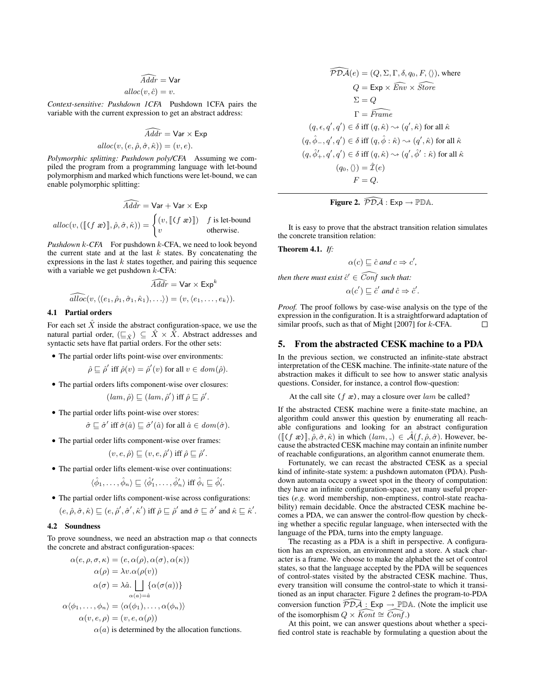# $\widehat{A}$ ddr  $=$  Var  $alloc(v, \hat{c}) = v.$

*Context-sensitive: Pushdown 1CFA* Pushdown 1CFA pairs the variable with the current expression to get an abstract address:

$$
\widehat{Adar} = \text{Var} \times \text{Exp}
$$
  
 
$$
alloc(v, (e, \hat{\rho}, \hat{\sigma}, \hat{\kappa})) = (v, e).
$$

*Polymorphic splitting: Pushdown poly/CFA* Assuming we compiled the program from a programming language with let-bound polymorphism and marked which functions were let-bound, we can enable polymorphic splitting:

$$
\widehat{Addr} = \text{Var} + \text{Var} \times \text{Exp}
$$
  
 
$$
alloc(v, (\llbracket (f \ x) \rrbracket, \hat{\rho}, \hat{\sigma}, \hat{\kappa})) = \begin{cases} (v, \llbracket (f \ x) \rrbracket) & f \ \text{is let-bound} \\ v & \text{otherwise.} \end{cases}
$$

*Pushdown* k*-CFA* For pushdown k-CFA, we need to look beyond the current state and at the last  $k$  states. By concatenating the expressions in the last  $k$  states together, and pairing this sequence with a variable we get pushdown  $k$ -CFA:

$$
\widehat{A} \widehat{ddr} = \mathsf{Var} \times \mathsf{Exp}^k
$$

$$
\widehat{alloc}(v, \langle (e_1, \hat{\rho}_1, \hat{\sigma}_1, \hat{\kappa}_1), \ldots \rangle) = (v, \langle e_1, \ldots, e_k \rangle).
$$

## 4.1 Partial orders

For each set  $\hat{X}$  inside the abstract configuration-space, we use the natural partial order,  $(\underline{\square}_{\hat{X}}) \subseteq \hat{X} \times \hat{X}$ . Abstract addresses and syntactic sets have flat partial orders. For the other sets:

• The partial order lifts point-wise over environments:

 $\hat{\rho} \sqsubseteq \hat{\rho}'$  iff  $\hat{\rho}(v) = \hat{\rho}'(v)$  for all  $v \in dom(\hat{\rho})$ .

• The partial orders lifts component-wise over closures:

$$
(lam, \hat{\rho}) \sqsubseteq (lam, \hat{\rho}')
$$
 iff  $\hat{\rho} \sqsubseteq \hat{\rho}'$ .

• The partial order lifts point-wise over stores:

 $\hat{\sigma} \sqsubseteq \hat{\sigma}'$  iff  $\hat{\sigma}(\hat{a}) \sqsubseteq \hat{\sigma}'(\hat{a})$  for all  $\hat{a} \in dom(\hat{\sigma})$ .

• The partial order lifts component-wise over frames:

$$
(v, e, \hat{\rho}) \sqsubseteq (v, e, \hat{\rho}')
$$
 iff  $\hat{\rho} \sqsubseteq \hat{\rho}'$ .

• The partial order lifts element-wise over continuations:

$$
\langle \hat{\phi}_1, \dots, \hat{\phi}_n \rangle \sqsubseteq \langle \hat{\phi}'_1, \dots, \hat{\phi}'_n \rangle
$$
 iff  $\hat{\phi}_i \sqsubseteq \hat{\phi}'_i$ .

• The partial order lifts component-wise across configurations:  $(e, \hat{\rho}, \hat{\sigma}, \hat{\kappa}) \sqsubseteq (e, \hat{\rho}', \hat{\sigma}', \hat{\kappa}')$  iff  $\hat{\rho} \sqsubseteq \hat{\rho}'$  and  $\hat{\sigma} \sqsubseteq \hat{\sigma}'$  and  $\hat{\kappa} \sqsubseteq \hat{\kappa}'$ .

## 4.2 Soundness

To prove soundness, we need an abstraction map  $\alpha$  that connects the concrete and abstract configuration-spaces:

$$
\alpha(e, \rho, \sigma, \kappa) = (e, \alpha(\rho), \alpha(\sigma), \alpha(\kappa))
$$

$$
\alpha(\rho) = \lambda v. \alpha(\rho(v))
$$

$$
\alpha(\sigma) = \lambda \hat{a}. \bigcup_{\alpha(a) = \hat{a}} {\{\alpha(\sigma(a))\}}
$$

$$
\alpha\langle \phi_1, \ldots, \phi_n \rangle = {\langle \alpha(\phi_1), \ldots, \alpha(\phi_n) \rangle}
$$

$$
\alpha(v, e, \rho) = (v, e, \alpha(\rho))
$$

 $\alpha(a)$  is determined by the allocation functions.

$$
\widehat{PDA}(e) = (Q, \Sigma, \Gamma, \delta, q_0, F, \langle \rangle), \text{ where}
$$
\n
$$
Q = \text{Exp} \times \widehat{Env} \times \widehat{Store}
$$
\n
$$
\Sigma = Q
$$
\n
$$
\Gamma = \widehat{Frame}
$$
\n
$$
(q, \epsilon, q', q') \in \delta \text{ iff } (q, \hat{\kappa}) \sim (q', \hat{\kappa}) \text{ for all } \hat{\kappa}
$$
\n
$$
(q, \hat{\phi}_-, q', q') \in \delta \text{ iff } (q, \hat{\phi} : \hat{\kappa}) \sim (q', \hat{\kappa}) \text{ for all } \hat{\kappa}
$$
\n
$$
(q, \hat{\phi}'_+, q', q') \in \delta \text{ iff } (q, \hat{\kappa}) \sim (q', \hat{\phi}' : \hat{\kappa}) \text{ for all } \hat{\kappa}
$$
\n
$$
(q_0, \langle \rangle) = \hat{\mathcal{I}}(e)
$$
\n
$$
F = Q.
$$

<span id="page-4-1"></span>**Figure 2.** 
$$
\widehat{PDA}: Exp \to PDA
$$
.

It is easy to prove that the abstract transition relation simulates the concrete transition relation:

Theorem 4.1. *If:*

$$
\alpha(c) \sqsubseteq \hat{c} \text{ and } c \Rightarrow c',
$$

 $\emph{then there must exist $\hat{c}' \in \widehat{Conf}$ such that:}$ 

$$
\alpha(c') \sqsubseteq \hat{c}' \text{ and } \hat{c} \Rightarrow \hat{c}'.
$$

*Proof.* The proof follows by case-wise analysis on the type of the expression in the configuration. It is a straightforward adaptation of similar proofs, such as that of [Might](#page-11-7) [\[2007\]](#page-11-7) for k-CFA.

# <span id="page-4-0"></span>5. From the abstracted CESK machine to a PDA

In the previous section, we constructed an infinite-state abstract interpretation of the CESK machine. The infinite-state nature of the abstraction makes it difficult to see how to answer static analysis questions. Consider, for instance, a control flow-question:

At the call site  $(f \nvert x)$ , may a closure over lam be called?

If the abstracted CESK machine were a finite-state machine, an algorithm could answer this question by enumerating all reachable configurations and looking for an abstract configuration  $([\[( f \ x)]], \hat{\rho}, \hat{\sigma}, \hat{\kappa})$  in which  $(lam, \Delta) \in \hat{\mathcal{A}}(f, \hat{\rho}, \hat{\sigma})$ . However, because the abstracted CESK machine may contain an infinite number of reachable configurations, an algorithm cannot enumerate them.

Fortunately, we can recast the abstracted CESK as a special kind of infinite-state system: a pushdown automaton (PDA). Pushdown automata occupy a sweet spot in the theory of computation: they have an infinite configuration-space, yet many useful properties (*e.g.* word membership, non-emptiness, control-state reachability) remain decidable. Once the abstracted CESK machine becomes a PDA, we can answer the control-flow question by checking whether a specific regular language, when intersected with the language of the PDA, turns into the empty language.

The recasting as a PDA is a shift in perspective. A configuration has an expression, an environment and a store. A stack character is a frame. We choose to make the alphabet the set of control states, so that the language accepted by the PDA will be sequences of control-states visited by the abstracted CESK machine. Thus, every transition will consume the control-state to which it transitioned as an input character. Figure [2](#page-4-1) defines the program-to-PDA conversion function  $\overline{PDA}$  : Exp  $\rightarrow$  PDA. (Note the implicit use of the isomorphism  $Q \times \widehat{Kont} \cong \widehat{Conf}$ .)

At this point, we can answer questions about whether a specified control state is reachable by formulating a question about the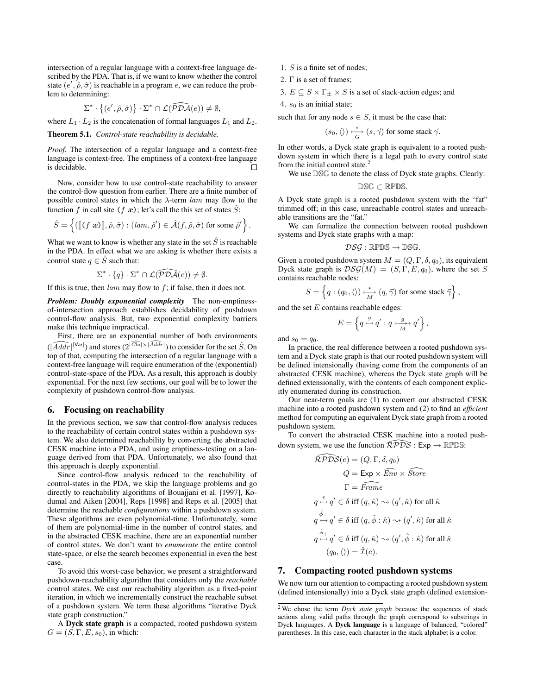intersection of a regular language with a context-free language described by the PDA. That is, if we want to know whether the control state  $(e', \hat{\rho}, \hat{\sigma})$  is reachable in a program e, we can reduce the problem to determining:

$$
\Sigma^* \cdot \big\{ (e', \hat{\rho}, \hat{\sigma}) \big\} \cdot \Sigma^* \cap \mathcal{L}(\widehat{\mathcal{PDA}}(e)) \neq \emptyset,
$$

where  $L_1 \cdot L_2$  is the concatenation of formal languages  $L_1$  and  $L_2$ .

Theorem 5.1. *Control-state reachability is decidable.*

*Proof.* The intersection of a regular language and a context-free language is context-free. The emptiness of a context-free language is decidable.  $\Box$ 

Now, consider how to use control-state reachability to answer the control-flow question from earlier. There are a finite number of possible control states in which the  $\lambda$ -term lam may flow to the function f in call site (f  $x$ ); let's call the this set of states  $\ddot{S}$ :

$$
\hat{S} = \left\{ (\llbracket (f \ x \ \textcolor{red}{B} ) \rrbracket, \hat{\rho}, \hat{\sigma}) : ( \textcolor{red}{lam}, \hat{\rho}') \in \hat{\mathcal{A}}(f, \hat{\rho}, \hat{\sigma}) \ \text{for some} \ \hat{\rho}' \right\}.
$$

What we want to know is whether any state in the set  $\hat{S}$  is reachable in the PDA. In effect what we are asking is whether there exists a control state  $q \in \hat{S}$  such that:

$$
\Sigma^* \cdot \{q\} \cdot \Sigma^* \cap \mathcal{L}(\widehat{\mathcal{PDA}}(e)) \neq \emptyset.
$$

If this is true, then  $lam$  may flow to  $f$ ; if false, then it does not.

*Problem: Doubly exponential complexity* The non-emptinessof-intersection approach establishes decidability of pushdown control-flow analysis. But, two exponential complexity barriers make this technique impractical.

First, there are an exponential number of both environments  $(|\widehat{A}ddr|^{|\text{Var}|})$  and stores  $(2^{|Cl_0| \times |\widehat{A}ddr|})$  to consider for the set  $\hat{S}$ . On top of that, computing the intersection of a regular language with a context-free language will require enumeration of the (exponential) control-state-space of the PDA. As a result, this approach is doubly exponential. For the next few sections, our goal will be to lower the complexity of pushdown control-flow analysis.

# 6. Focusing on reachability

In the previous section, we saw that control-flow analysis reduces to the reachability of certain control states within a pushdown system. We also determined reachability by converting the abstracted CESK machine into a PDA, and using emptiness-testing on a language derived from that PDA. Unfortunately, we also found that this approach is deeply exponential.

Since control-flow analysis reduced to the reachability of control-states in the PDA, we skip the language problems and go directly to reachability algorithms of [Bouajjani et al.](#page-11-5) [\[1997\]](#page-11-5), [Ko](#page-11-8)[dumal and Aiken](#page-11-8) [\[2004\]](#page-11-8), [Reps](#page-11-9) [\[1998\]](#page-11-9) and [Reps et al.](#page-11-10) [\[2005\]](#page-11-10) that determine the reachable *configurations* within a pushdown system. These algorithms are even polynomial-time. Unfortunately, some of them are polynomial-time in the number of control states, and in the abstracted CESK machine, there are an exponential number of control states. We don't want to *enumerate* the entire control state-space, or else the search becomes exponential in even the best case.

To avoid this worst-case behavior, we present a straightforward pushdown-reachability algorithm that considers only the *reachable* control states. We cast our reachability algorithm as a fixed-point iteration, in which we incrementally construct the reachable subset of a pushdown system. We term these algorithms "iterative Dyck state graph construction."

A Dyck state graph is a compacted, rooted pushdown system  $G = (S, \Gamma, E, s_0)$ , in which:

- 1. S is a finite set of nodes;
- 2. Γ is a set of frames;

3.  $E \subseteq S \times \Gamma_\pm \times S$  is a set of stack-action edges; and

4.  $s_0$  is an initial state;

such that for any node  $s \in S$ , it must be the case that:

$$
(s_0,\langle\rangle)\overset{*}{\underset{G}{\longmapsto}} (s,\vec{\gamma})\text{ for some stack }\vec{\gamma}.
$$

In other words, a Dyck state graph is equivalent to a rooted pushdown system in which there is a legal path to every control state from the initial control state.<sup>[2](#page-5-0)</sup>

We use DSG to denote the class of Dyck state graphs. Clearly:

DSG ⊂ RPDS.

A Dyck state graph is a rooted pushdown system with the "fat" trimmed off; in this case, unreachable control states and unreachable transitions are the "fat."

We can formalize the connection between rooted pushdown systems and Dyck state graphs with a map:

$$
\mathcal{DSG}:\mathbb{RPDS}\to \mathbb{DSG}.
$$

Given a rooted pushdown system  $M = (Q, \Gamma, \delta, q_0)$ , its equivalent Dyck state graph is  $DSG(M) = (S, \Gamma, E, q_0)$ , where the set S contains reachable nodes:

$$
S = \left\{ q : (q_0, \langle \rangle) \stackrel{*}{\underset{M}{\longrightarrow}} (q, \vec{\gamma}) \text{ for some stack } \vec{\gamma} \right\},\
$$

and the set  $E$  contains reachable edges:

$$
E = \left\{ q \stackrel{g}{\rightarrowtail} q' : q \stackrel{g}{\longrightarrowtail} q' \right\},\,
$$

and  $s_0 = q_0$ .

In practice, the real difference between a rooted pushdown system and a Dyck state graph is that our rooted pushdown system will be defined intensionally (having come from the components of an abstracted CESK machine), whereas the Dyck state graph will be defined extensionally, with the contents of each component explicitly enumerated during its construction.

Our near-term goals are (1) to convert our abstracted CESK machine into a rooted pushdown system and (2) to find an *efficient* method for computing an equivalent Dyck state graph from a rooted pushdown system.

To convert the abstracted CESK machine into a rooted pushdown system, we use the function  $\widehat{\mathcal{R}PDS}$  : Exp  $\rightarrow \mathbb{RPDS}$ :

$$
\widehat{\mathcal{RPDSS}}(e) = (Q, \Gamma, \delta, q_0)
$$
  
\n
$$
Q = \text{Exp} \times \widehat{\text{Env}} \times \widehat{\text{Store}}
$$
  
\n
$$
\Gamma = \widehat{\text{Frame}}
$$
  
\n
$$
q \xrightarrow{\epsilon} q' \in \delta \text{ iff } (q, \hat{\kappa}) \leadsto (q', \hat{\kappa}) \text{ for all } \hat{\kappa}
$$
  
\n
$$
q \xrightarrow{\hat{\phi}} q' \in \delta \text{ iff } (q, \hat{\phi} : \hat{\kappa}) \leadsto (q', \hat{\kappa}) \text{ for all } \hat{\kappa}
$$
  
\n
$$
q \xrightarrow{\hat{\phi}} q' \in \delta \text{ iff } (q, \hat{\kappa}) \leadsto (q', \hat{\phi} : \hat{\kappa}) \text{ for all } \hat{\kappa}
$$
  
\n
$$
(q_0, \langle \rangle) = \widehat{\mathcal{I}}(e).
$$

# <span id="page-5-1"></span>7. Compacting rooted pushdown systems

We now turn our attention to compacting a rooted pushdown system (defined intensionally) into a Dyck state graph (defined extension-

<span id="page-5-0"></span><sup>2</sup> We chose the term *Dyck state graph* because the sequences of stack actions along valid paths through the graph correspond to substrings in Dyck languages. A Dyck language is a language of balanced, "colored" parentheses. In this case, each character in the stack alphabet is a color.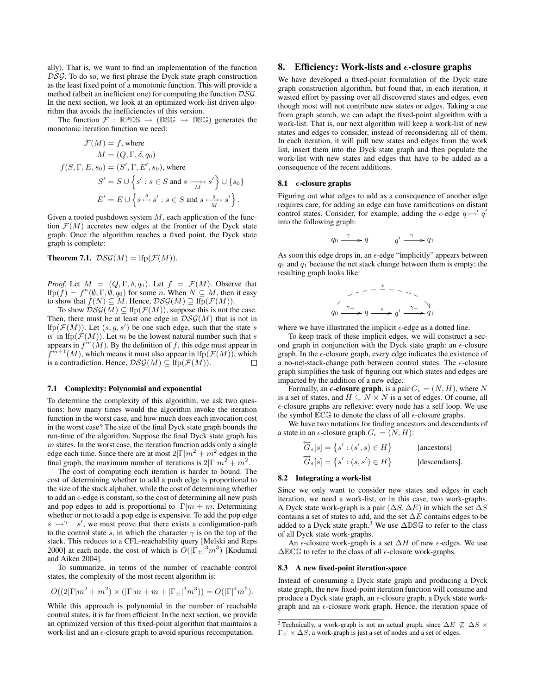ally). That is, we want to find an implementation of the function DSG. To do so, we first phrase the Dyck state graph construction as the least fixed point of a monotonic function. This will provide a method (albeit an inefficient one) for computing the function DSG. In the next section, we look at an optimized work-list driven algorithm that avoids the inefficiencies of this version.

The function  $\mathcal{F}$ : RPDS  $\rightarrow$  (DSG  $\rightarrow$  DSG) generates the monotonic iteration function we need:

$$
\mathcal{F}(M) = f, \text{ where}
$$

$$
M = (Q, \Gamma, \delta, q_0)
$$

$$
f(S, \Gamma, E, s_0) = (S', \Gamma, E', s_0), \text{ where}
$$

$$
S' = S \cup \left\{ s' : s \in S \text{ and } s \xrightarrow[M]{s'} s' \right\} \cup \left\{ s_0 \right\}
$$

$$
E' = E \cup \left\{ s \xrightarrow{g} s' : s \in S \text{ and } s \xrightarrow[M]{g} s' \right\}.
$$

Given a rooted pushdown system  $M$ , each application of the function  $\mathcal{F}(M)$  accretes new edges at the frontier of the Dyck state graph. Once the algorithm reaches a fixed point, the Dyck state graph is complete:

**Theorem 7.1.**  $DSG(M) =$ lfp $(F(M))$ .

*Proof.* Let  $M = (Q, \Gamma, \delta, q_0)$ . Let  $f = \mathcal{F}(M)$ . Observe that If  $p(f) = f^n(\emptyset, \Gamma, \emptyset, q_0)$  for some n. When  $N \subseteq M$ , then it easy to show that  $f(N) \subseteq M$ . Hence,  $\mathcal{DSG}(M) \supseteq \text{lfp}(\mathcal{F}(M))$ .

To show  $DSG(M) \subseteq \text{Ifp}(\mathcal{F}(M))$ , suppose this is not the case. Then, there must be at least one edge in  $DSG(M)$  that is not in If  $p(\mathcal{F}(M))$ . Let  $(s, g, s')$  be one such edge, such that the state s *is* in  $lfp(\mathcal{F}(M))$ . Let m be the lowest natural number such that s appears in  $f^m(\hat{M})$ . By the definition of f, this edge must appear in  $f^{m+1}(M)$ , which means it must also appear in lfp( $\mathcal{F}(M)$ ), which is a contradiction. Hence,  $DSG(M) \subseteq$  If  $p(F(M))$ .□

## 7.1 Complexity: Polynomial and exponential

To determine the complexity of this algorithm, we ask two questions: how many times would the algorithm invoke the iteration function in the worst case, and how much does each invocation cost in the worst case? The size of the final Dyck state graph bounds the run-time of the algorithm. Suppose the final Dyck state graph has  $m$  states. In the worst case, the iteration function adds only a single edge each time. Since there are at most  $2|\Gamma|m^2 + m^2$  edges in the final graph, the maximum number of iterations is  $2|\Gamma|m^2 + m^2$ .

The cost of computing each iteration is harder to bound. The cost of determining whether to add a push edge is proportional to the size of the stack alphabet, while the cost of determining whether to add an  $\epsilon$ -edge is constant, so the cost of determining all new push and pop edges to add is proportional to  $|\Gamma|m + m$ . Determining whether or not to add a pop edge is expensive. To add the pop edge  $s \rightarrow^{\gamma-} s'$ , we must prove that there exists a configuration-path to the control state s, in which the character  $\gamma$  is on the top of the stack. This reduces to a CFL-reachability query [\[Melski and Reps](#page-11-11) [2000\]](#page-11-11) at each node, the cost of which is  $O(|\Gamma_{\pm}|^3 m^3)$  [\[Kodumal](#page-11-8) [and Aiken](#page-11-8) [2004\]](#page-11-8).

To summarize, in terms of the number of reachable control states, the complexity of the most recent algorithm is:

$$
O((2|\Gamma|m^{2} + m^{2}) \times (|\Gamma|m + m + |\Gamma_{\pm}|^{3} m^{3})) = O(|\Gamma|^{4} m^{5}).
$$

While this approach is polynomial in the number of reachable control states, it is far from efficient. In the next section, we provide an optimized version of this fixed-point algorithm that maintains a work-list and an  $\epsilon$ -closure graph to avoid spurious recomputation.

# <span id="page-6-0"></span>8. Efficiency: Work-lists and  $\epsilon$ -closure graphs

We have developed a fixed-point formulation of the Dyck state graph construction algorithm, but found that, in each iteration, it wasted effort by passing over all discovered states and edges, even though most will not contribute new states or edges. Taking a cue from graph search, we can adapt the fixed-point algorithm with a work-list. That is, our next algorithm will keep a work-list of new states and edges to consider, instead of reconsidering all of them. In each iteration, it will pull new states and edges from the work list, insert them into the Dyck state graph and then populate the work-list with new states and edges that have to be added as a consequence of the recent additions.

# 8.1  $\epsilon$ -closure graphs

Figuring out what edges to add as a consequence of another edge requires care, for adding an edge can have ramifications on distant control states. Consider, for example, adding the  $\epsilon$ -edge  $q \rightarrow \epsilon q'$ into the following graph:

$$
q_0 \xrightarrow{\gamma_+} q \qquad \qquad q' \xrightarrow{\gamma_-} q_1
$$

As soon this edge drops in, an  $\epsilon$ -edge "implicitly" appears between  $q_0$  and  $q_1$  because the net stack change between them is empty; the resulting graph looks like:

$$
q_0 \xrightarrow{\gamma_+} q \xrightarrow{\epsilon} q' \xrightarrow{\gamma_-} q_1
$$

where we have illustrated the implicit  $\epsilon$ -edge as a dotted line.

To keep track of these implicit edges, we will construct a second graph in conjunction with the Dyck state graph: an  $\epsilon$ -closure graph. In the  $\epsilon$ -closure graph, every edge indicates the existence of a no-net-stack-change path between control states. The  $\epsilon$ -closure graph simplifies the task of figuring out which states and edges are impacted by the addition of a new edge.

Formally, an  $\epsilon$ -closure graph, is a pair  $G_{\epsilon} = (N, H)$ , where N is a set of states, and  $H \subseteq N \times N$  is a set of edges. Of course, all -closure graphs are reflexive: every node has a self loop. We use the symbol  $\mathbb{E} \mathbb{C} \mathbb{G}$  to denote the class of all  $\epsilon$ -closure graphs.

We have two notations for finding ancestors and descendants of a state in an  $\epsilon$ -closure graph  $G_{\epsilon} = (N, H)$ :

$$
\overleftarrow{G}_{\epsilon}[s] = \{s' : (s', s) \in H\}
$$
 [ancestors]  

$$
\overrightarrow{G}_{\epsilon}[s] = \{s' : (s, s') \in H\}
$$
 [descendants].

#### 8.2 Integrating a work-list

Since we only want to consider new states and edges in each iteration, we need a work-list, or in this case, two work-graphs. A Dyck state work-graph is a pair  $(\Delta S, \Delta E)$  in which the set  $\Delta S$ contains a set of states to add, and the set ∆E contains edges to be added to a Dyck state graph.<sup>[3](#page-6-1)</sup> We use  $\triangle$ DSG to refer to the class of all Dyck state work-graphs.

An  $\epsilon$ -closure work-graph is a set  $\Delta H$  of new  $\epsilon$ -edges. We use  $\Delta$ ECG to refer to the class of all  $\epsilon$ -closure work-graphs.

#### 8.3 A new fixed-point iteration-space

Instead of consuming a Dyck state graph and producing a Dyck state graph, the new fixed-point iteration function will consume and produce a Dyck state graph, an  $\epsilon$ -closure graph, a Dyck state workgraph and an  $\epsilon$ -closure work graph. Hence, the iteration space of

<span id="page-6-1"></span><sup>&</sup>lt;sup>3</sup> Technically, a work-graph is not an actual graph, since  $\Delta E \nsubseteq \Delta S \times$  $\Gamma_{\pm} \times \Delta S$ ; a work-graph is just a set of nodes and a set of edges.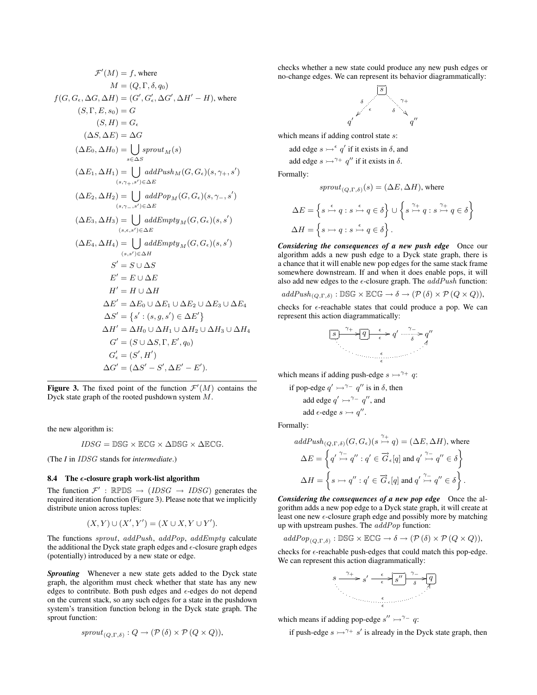$$
\mathcal{F}'(M) = f, \text{ where}
$$
  
\n
$$
M = (Q, \Gamma, \delta, q_0)
$$
  
\n
$$
f(G, G_{\epsilon}, \Delta G, \Delta H) = (G', G'_{\epsilon}, \Delta G', \Delta H' - H), \text{ where}
$$
  
\n
$$
(S, \Gamma, E, s_0) = G
$$
  
\n
$$
(S, H) = G_{\epsilon}
$$
  
\n
$$
(\Delta S, \Delta E) = \Delta G
$$
  
\n
$$
(\Delta E_0, \Delta H_0) = \bigcup_{s \in \Delta S} \text{growth}_M(s)
$$
  
\n
$$
(\Delta E_1, \Delta H_1) = \bigcup_{(s, \gamma_+, s') \in \Delta E} \text{addPush}_M(G, G_{\epsilon})(s, \gamma_+, s')
$$
  
\n
$$
(\Delta E_2, \Delta H_2) = \bigcup_{(s, \gamma_-, s') \in \Delta E} \text{addPapp}_M(G, G_{\epsilon})(s, \gamma_-, s')
$$
  
\n
$$
(\Delta E_3, \Delta H_3) = \bigcup_{(s, s') \in \Delta E} \text{addEmpty}_M(G, G_{\epsilon})(s, s')
$$
  
\n
$$
(\Delta E_4, \Delta H_4) = \bigcup_{(s, s') \in \Delta H} \text{addEmpty}_M(G, G_{\epsilon})(s, s')
$$
  
\n
$$
S' = S \cup \Delta S
$$
  
\n
$$
E' = E \cup \Delta E
$$
  
\n
$$
H' = H \cup \Delta H
$$
  
\n
$$
\Delta E' = \Delta E_0 \cup \Delta E_1 \cup \Delta E_2 \cup \Delta E_3 \cup \Delta E_4
$$
  
\n
$$
\Delta S' = \{s' : (s, g, s') \in \Delta E'\}
$$
  
\n
$$
\Delta H' = \Delta H_0 \cup \Delta H_1 \cup \Delta H_2 \cup \Delta H_3 \cup \Delta H_4
$$
  
\n
$$
G' = (S \cup \Delta S, \Gamma, E', q_0)
$$
  
\n
$$
G'_{\epsilon} = (S', H')
$$
  
\n
$$
\Delta G' = (\Delta S' - S', \Delta E' - E').
$$

<span id="page-7-0"></span>Figure 3. The fixed point of the function  $\mathcal{F}'(M)$  contains the Dyck state graph of the rooted pushdown system  $M$ .

the new algorithm is:

$$
IDSG = \mathbb{DSG} \times \mathbb{ECG} \times \Delta \mathbb{DSG} \times \Delta \mathbb{ECG}.
$$

(The *I* in IDSG stands for *intermediate*.)

#### 8.4 The  $\epsilon$ -closure graph work-list algorithm

The function  $\mathcal{F}'$ : RPDS  $\rightarrow$  (*IDSG*  $\rightarrow$  *IDSG*) generates the required iteration function (Figure [3\)](#page-7-0). Please note that we implicitly distribute union across tuples:

$$
(X,Y)\cup(X',Y')=(X\cup X,Y\cup Y').
$$

The functions sprout, addPush, addPop, addEmpty calculate the additional the Dyck state graph edges and  $\epsilon$ -closure graph edges (potentially) introduced by a new state or edge.

*Sprouting* Whenever a new state gets added to the Dyck state graph, the algorithm must check whether that state has any new edges to contribute. Both push edges and  $\epsilon$ -edges do not depend on the current stack, so any such edges for a state in the pushdown system's transition function belong in the Dyck state graph. The sprout function:

$$
sprout_{(Q,\Gamma,\delta)}: Q \to (\mathcal{P}(\delta) \times \mathcal{P}(Q \times Q)),
$$

checks whether a new state could produce any new push edges or no-change edges. We can represent its behavior diagrammatically:



which means if adding control state s:

add edge  $s \rightarrow^{\epsilon} q'$  if it exists in  $\delta$ , and

add edge  $s \rightarrow^{\gamma_+} q''$  if it exists in  $\delta$ .

Formally:

$$
sprout_{(Q,\Gamma,\delta)}(s) = (\Delta E, \Delta H)
$$
, where

$$
\Delta E = \left\{ s \stackrel{\epsilon}{\rightarrowtail} q : s \stackrel{\epsilon}{\rightarrowtail} q \in \delta \right\} \cup \left\{ s \stackrel{\gamma_+}{\rightarrowtail} q : s \stackrel{\gamma_+}{\rightarrowtail} q \in \delta \right\}
$$
  

$$
\Delta H = \left\{ s \rightarrowtail q : s \stackrel{\epsilon}{\rightarrowtail} q \in \delta \right\}.
$$

*Considering the consequences of a new push edge* Once our algorithm adds a new push edge to a Dyck state graph, there is a chance that it will enable new pop edges for the same stack frame somewhere downstream. If and when it does enable pops, it will also add new edges to the  $\epsilon$ -closure graph. The  $addPush$  function:

$$
addPush_{(Q,\Gamma,\delta)} : \mathbb{DSG} \times \mathbb{ECG} \to \delta \to (\mathcal{P}(\delta) \times \mathcal{P}(Q \times Q)),
$$

checks for  $\epsilon$ -reachable states that could produce a pop. We can represent this action diagrammatically:

$$
\boxed{s} \xrightarrow{\gamma+} \boxed{q} \xrightarrow{\epsilon} q' \xrightarrow{\gamma-} q''
$$

which means if adding push-edge  $s \rightarrow^{\gamma_+} q$ :

if pop-edge 
$$
q' \rightarrow^{\gamma-1} q''
$$
 is in  $\delta$ , then  
add edge  $q' \rightarrow^{\gamma-1} q''$ , and  
add  $\epsilon$ -edge  $s \rightarrow q''$ .

Formally:

$$
addPush_{(Q,\Gamma,\delta)}(G, G_{\epsilon})(s \stackrel{\gamma_+}{\rightarrow} q) = (\Delta E, \Delta H), \text{ where}
$$

$$
\Delta E = \left\{ q' \stackrel{\gamma_-}{\rightarrow} q'' : q' \in \overrightarrow{G}_{\epsilon}[q] \text{ and } q' \stackrel{\gamma_-}{\rightarrow} q'' \in \delta \right\}
$$

$$
\Delta H = \left\{ s \rightarrow q'' : q' \in \overrightarrow{G}_{\epsilon}[q] \text{ and } q' \stackrel{\gamma_-}{\rightarrow} q'' \in \delta \right\}.
$$

*Considering the consequences of a new pop edge* Once the algorithm adds a new pop edge to a Dyck state graph, it will create at least one new  $\epsilon$ -closure graph edge and possibly more by matching up with upstream pushes. The addPop function:

$$
addPop_{(Q,\Gamma,\delta)} : \mathbb{DSG} \times \mathbb{ECG} \to \delta \to (\mathcal{P}(\delta) \times \mathcal{P}(Q \times Q)),
$$

checks for  $\epsilon$ -reachable push-edges that could match this pop-edge. We can represent this action diagrammatically:



which means if adding pop-edge  $s'' \rightarrow \gamma^- q$ :

if push-edge  $s \rightarrow^{\gamma_+} s'$  is already in the Dyck state graph, then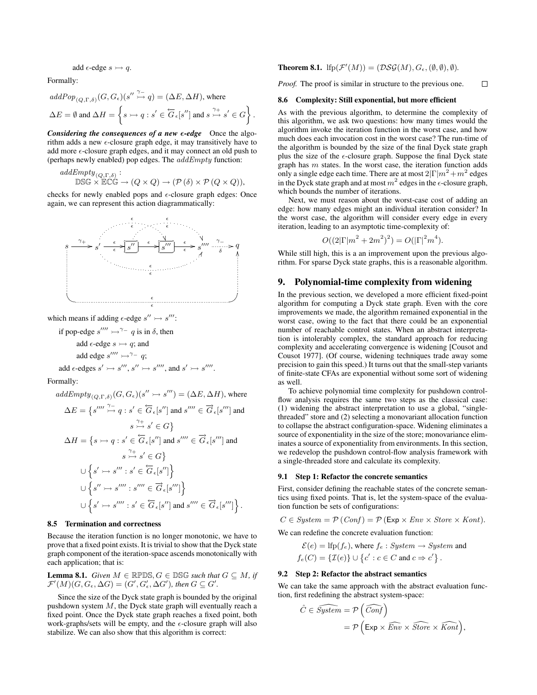$$
add \in \text{edge } s \rightarrowtail q.
$$

Formally:

$$
\begin{aligned} addPop_{(Q,\Gamma,\delta)}(G,G_{\epsilon})(s^{\prime\prime}\stackrel{\gamma_{-}}{\rightarrow}q)&=(\Delta E,\Delta H),\,\text{where}\\ \Delta E&=\emptyset\text{ and }\Delta H=\bigg\{s\rightarrow q:s^{\prime}\in\overleftarrow{G}_{\epsilon}[s^{\prime\prime}]\text{ and }s\stackrel{\gamma_{+}}{\rightarrow}s^{\prime}\in G\bigg\} \end{aligned}
$$

.

*Considering the consequences of a new*  $\epsilon$ *-edge* Once the algorithm adds a new  $\epsilon$ -closure graph edge, it may transitively have to add more  $\epsilon$ -closure graph edges, and it may connect an old push to (perhaps newly enabled) pop edges. The  $addEmpty$  function:

addEmpty
$$
(Q, \Gamma, \delta)
$$
:  
DSG × ECCG  $\rightarrow (Q \times Q) \rightarrow (\mathcal{P}(\delta) \times \mathcal{P}(Q \times Q)),$ 

checks for newly enabled pops and  $\epsilon$ -closure graph edges: Once again, we can represent this action diagrammatically:



which means if adding  $\epsilon$ -edge  $s'' \rightarrow s'''$ :

if pop-edge  $s'''' \rightarrow^{\gamma-} q$  is in  $\delta$ , then add  $\epsilon$ -edge  $s \rightarrow q$ ; and add edge  $s'''' \rightarrow^{\gamma-} q$ ; add  $\epsilon$ -edges  $s' \rightarrow s'''$ ,  $s'' \rightarrow s''''$ , and  $s' \rightarrow s''''$ .

Formally:

$$
addEmpty_{(Q,\Gamma,\delta)}(G, G_{\epsilon})(s'' \rightarrow s''') = (\Delta E, \Delta H), \text{ where}
$$

$$
\Delta E = \{s'''\stackrel{\gamma}{\rightarrow} q : s' \in \overline{G}_{\epsilon}[s''] \text{ and } s'''' \in \overrightarrow{G}_{\epsilon}[s'''] \text{ and}
$$

$$
s \stackrel{\gamma}{\rightarrow} s' \in G\}
$$

$$
\Delta H = \{s \rightarrow q : s' \in \overleftarrow{G}_{\epsilon}[s''] \text{ and } s'''' \in \overrightarrow{G}_{\epsilon}[s'''] \text{ and}
$$

$$
s \stackrel{\gamma}{\rightarrow} s' \in G\}
$$

$$
\cup \{s' \rightarrow s'''': s' \in \overleftarrow{G}_{\epsilon}[s'']\}
$$

$$
\cup \{s'' \rightarrow s''''': s'''' \in \overrightarrow{G}_{\epsilon}[s''']\}
$$

$$
\cup \{s' \rightarrow s''''': s' \in \overleftarrow{G}_{\epsilon}[s''] \text{ and } s'''' \in \overrightarrow{G}_{\epsilon}[s''']\}.
$$

#### 8.5 Termination and correctness

Because the iteration function is no longer monotonic, we have to prove that a fixed point exists. It is trivial to show that the Dyck state graph component of the iteration-space ascends monotonically with each application; that is:

**Lemma 8.1.** *Given*  $M \in \mathbb{R}PDS$ ,  $G \in DSG$  *such that*  $G \subseteq M$ , if  $\mathcal{F}'(M)(G, G_{\epsilon}, \Delta G) = (G', G'_{\epsilon}, \Delta G')$ , then  $G \subseteq G'$ .

Since the size of the Dyck state graph is bounded by the original pushdown system  $M$ , the Dyck state graph will eventually reach a fixed point. Once the Dyck state graph reaches a fixed point, both work-graphs/sets will be empty, and the  $\epsilon$ -closure graph will also stabilize. We can also show that this algorithm is correct:

# **Theorem 8.1.** If  $p(\mathcal{F}'(M)) = (\mathcal{DSG}(M), G_{\epsilon}, (\emptyset, \emptyset), \emptyset)$ *.*

*Proof.* The proof is similar in structure to the previous one.

 $\Box$ 

# 8.6 Complexity: Still exponential, but more efficient

As with the previous algorithm, to determine the complexity of this algorithm, we ask two questions: how many times would the algorithm invoke the iteration function in the worst case, and how much does each invocation cost in the worst case? The run-time of the algorithm is bounded by the size of the final Dyck state graph plus the size of the  $\epsilon$ -closure graph. Suppose the final Dyck state graph has  $m$  states. In the worst case, the iteration function adds only a single edge each time. There are at most  $2|\Gamma|m^2+m^2$  edges in the Dyck state graph and at most  $m^2$  edges in the  $\epsilon$ -closure graph, which bounds the number of iterations.

Next, we must reason about the worst-case cost of adding an edge: how many edges might an individual iteration consider? In the worst case, the algorithm will consider every edge in every iteration, leading to an asymptotic time-complexity of:

$$
O((2|\Gamma|m^{2} + 2m^{2})^{2}) = O(|\Gamma|^{2}m^{4}).
$$

While still high, this is a an improvement upon the previous algorithm. For sparse Dyck state graphs, this is a reasonable algorithm.

# 9. Polynomial-time complexity from widening

In the previous section, we developed a more efficient fixed-point algorithm for computing a Dyck state graph. Even with the core improvements we made, the algorithm remained exponential in the worst case, owing to the fact that there could be an exponential number of reachable control states. When an abstract interpretation is intolerably complex, the standard approach for reducing complexity and accelerating convergence is widening [\[Cousot and](#page-11-12) [Cousot](#page-11-12) [1977\]](#page-11-12). (Of course, widening techniques trade away some precision to gain this speed.) It turns out that the small-step variants of finite-state CFAs are exponential without some sort of widening as well.

To achieve polynomial time complexity for pushdown controlflow analysis requires the same two steps as the classical case: (1) widening the abstract interpretation to use a global, "singlethreaded" store and (2) selecting a monovariant allocation function to collapse the abstract configuration-space. Widening eliminates a source of exponentiality in the size of the store; monovariance eliminates a source of exponentiality from environments. In this section, we redevelop the pushdown control-flow analysis framework with a single-threaded store and calculate its complexity.

#### 9.1 Step 1: Refactor the concrete semantics

First, consider defining the reachable states of the concrete semantics using fixed points. That is, let the system-space of the evaluation function be sets of configurations:

$$
C \in System = \mathcal{P}(Conf) = \mathcal{P}(\text{Exp} \times \text{Env} \times \text{Store} \times \text{Kont}).
$$

We can redefine the concrete evaluation function:

$$
\mathcal{E}(e) = \text{lfp}(f_e), \text{ where } f_e: System \rightarrow System \text{ and}
$$

$$
f_e(C) = \{ \mathcal{I}(e) \} \cup \{ c' : c \in C \text{ and } c \Rightarrow c' \}.
$$

#### 9.2 Step 2: Refactor the abstract semantics

We can take the same approach with the abstract evaluation function, first redefining the abstract system-space:

$$
\hat{C} \in \widehat{System} = \mathcal{P}\left(\widehat{Conf}\right)
$$

$$
= \mathcal{P}\left(\mathsf{Exp} \times \widehat{Env} \times \widehat{Store} \times \widehat{Kont}\right),
$$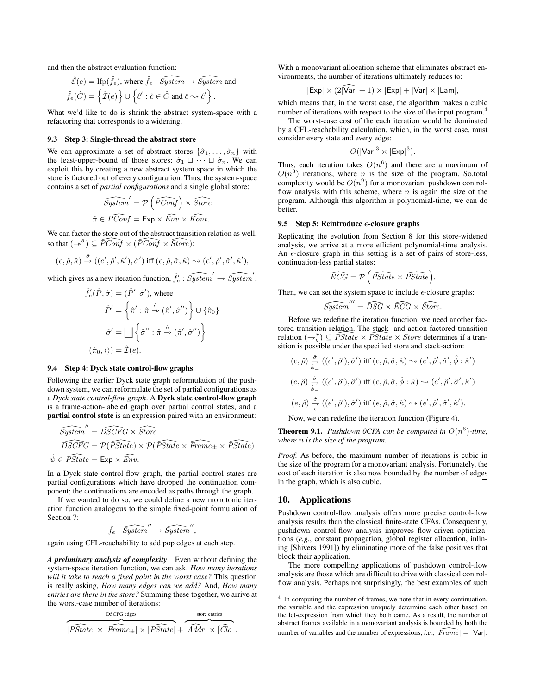and then the abstract evaluation function:

$$
\hat{\mathcal{E}}(e) = \text{lfp}(\hat{f}_e), \text{ where } \hat{f}_e : \widehat{System} \to \widehat{System} \text{ and}
$$

$$
\hat{f}_e(\hat{C}) = \left\{ \hat{\mathcal{I}}(e) \right\} \cup \left\{ \hat{c}' : \hat{c} \in \hat{C} \text{ and } \hat{c} \sim \hat{c}' \right\}.
$$

What we'd like to do is shrink the abstract system-space with a refactoring that corresponds to a widening.

#### 9.3 Step 3: Single-thread the abstract store

We can approximate a set of abstract stores  $\{\hat{\sigma}_1, \ldots, \hat{\sigma}_n\}$  with the least-upper-bound of those stores:  $\hat{\sigma}_1 \sqcup \cdots \sqcup \hat{\sigma}_n$ . We can exploit this by creating a new abstract system space in which the store is factored out of every configuration. Thus, the system-space contains a set of *partial configurations* and a single global store:

$$
\widehat{System}' = \mathcal{P}\left(\widehat{PConf}\right) \times \widehat{Store}
$$

$$
\hat{\pi} \in \widehat{PConf} = \text{Exp} \times \widehat{Env} \times \widehat{Kont}.
$$

We can factor the store out of the abstract transition relation as well, so that  $(-\varepsilon^{\hat{\sigma}}) \subseteq \widehat{PConf} \times (\widehat{PConf} \times \widehat{Store})$ :

$$
(e,\hat{\rho},\hat{\kappa}) \stackrel{\hat{\sigma}}{\rightarrow} ((e',\hat{\rho}',\hat{\kappa}'),\hat{\sigma}') \text{ iff } (e,\hat{\rho},\hat{\sigma},\hat{\kappa}) \sim (e',\hat{\rho}',\hat{\sigma}',\hat{\kappa}'),
$$

which gives us a new iteration function,  $\hat{f}'_e$  :  $\widehat{System}' \rightarrow \widehat{System}'$ ,

$$
\hat{f}'_e(\hat{P}, \hat{\sigma}) = (\hat{P}', \hat{\sigma}'), \text{ where}
$$

$$
\hat{P}' = \left\{ \hat{\pi}' : \hat{\pi} \stackrel{\hat{\sigma}}{\rightarrow} (\hat{\pi}', \hat{\sigma}'') \right\} \cup \left\{ \hat{\pi}_0 \right\}
$$

$$
\hat{\sigma}' = \bigsqcup \left\{ \hat{\sigma}'' : \hat{\pi} \stackrel{\hat{\sigma}}{\rightarrow} (\hat{\pi}', \hat{\sigma}'') \right\}
$$

$$
(\hat{\pi}_0, \langle \rangle) = \hat{\mathcal{I}}(e).
$$

#### 9.4 Step 4: Dyck state control-flow graphs

Following the earlier Dyck state graph reformulation of the pushdown system, we can reformulate the set of partial configurations as a *Dyck state control-flow graph*. A Dyck state control-flow graph is a frame-action-labeled graph over partial control states, and a partial control state is an expression paired with an environment:

$$
\begin{aligned}\n\widehat{System}'' &= \widehat{DSCFG} \times \widehat{Store} \\
\widehat{DSCFG} &= \mathcal{P}(\widehat{PState}) \times \mathcal{P}(\widehat{PState} \times \widehat{Frame}_{\pm} \times \widehat{PState}) \\
\widehat{\psi} &\in \widehat{PState} = \text{Exp} \times \widehat{Env}.\n\end{aligned}
$$

In a Dyck state control-flow graph, the partial control states are partial configurations which have dropped the continuation component; the continuations are encoded as paths through the graph.

If we wanted to do so, we could define a new monotonic iteration function analogous to the simple fixed-point formulation of Section [7:](#page-5-1)

$$
\hat{f}_e : \widehat{System}'' \to \widehat{System}'',
$$

again using CFL-reachability to add pop edges at each step.

*A preliminary analysis of complexity* Even without defining the system-space iteration function, we can ask, *How many iterations will it take to reach a fixed point in the worst case?* This question is really asking, *How many edges can we add?* And, *How many entries are there in the store?* Summing these together, we arrive at the worst-case number of iterations:

$$
\overbrace{|PState| \times |\widehat{Frame}_{\pm}| \times |\widehat{PState}|}^{\text{DSCrG edges}} + \overbrace{|Addr| \times |\widehat{Clo}|}^{\text{store entries}},
$$

With a monovariant allocation scheme that eliminates abstract environments, the number of iterations ultimately reduces to:

$$
|\mathsf{Exp}| \times (2|\mathsf{Var}| + 1) \times |\mathsf{Exp}| + |\mathsf{Var}| \times |\mathsf{Lam}|,
$$

which means that, in the worst case, the algorithm makes a cubic number of iterations with respect to the size of the input program.[4](#page-9-0)

The worst-case cost of the each iteration would be dominated by a CFL-reachability calculation, which, in the worst case, must consider every state and every edge:

$$
O(|\mathsf{Var}|^3 \times |\mathsf{Exp}|^3).
$$

Thus, each iteration takes  $O(n^6)$  and there are a maximum of  $O(n^3)$  iterations, where n is the size of the program. So,total complexity would be  $O(n^9)$  for a monovariant pushdown controlflow analysis with this scheme, where  $n$  is again the size of the program. Although this algorithm is polynomial-time, we can do better.

#### 9.5 Step 5: Reintroduce  $\epsilon$ -closure graphs

Replicating the evolution from Section [8](#page-6-0) for this store-widened analysis, we arrive at a more efficient polynomial-time analysis. An  $\epsilon$ -closure graph in this setting is a set of pairs of store-less, continuation-less partial states:

$$
\widehat{ECG} = \mathcal{P}\left(\widehat{PState} \times \widehat{PState}\right).
$$

Then, we can set the system space to include  $\epsilon$ -closure graphs:

$$
\widehat{System}''' = \widehat{DSG} \times \widehat{ECG} \times \widehat{Store}.
$$

Before we redefine the iteration function, we need another factored transition relation. The stack- and action-factored transition relation  $(-\frac{\hat{g}}{g}) \subseteq \overline{PState} \times \overline{PState} \times Store$  determines if a transition is possible under the specified store and stack-action:

$$
(e, \hat{\rho}) \frac{\partial}{\partial \phi} (e', \hat{\rho}'), \hat{\sigma}') \text{ iff } (e, \hat{\rho}, \hat{\sigma}, \hat{\kappa}) \sim (e', \hat{\rho}', \hat{\sigma}', \hat{\phi} : \hat{\kappa}')
$$
  

$$
(e, \hat{\rho}) \frac{\partial}{\partial \phi} (e', \hat{\rho}'), \hat{\sigma}') \text{ iff } (e, \hat{\rho}, \hat{\sigma}, \hat{\phi} : \hat{\kappa}) \sim (e', \hat{\rho}', \hat{\sigma}', \hat{\kappa}')
$$
  

$$
(e, \hat{\rho}) \frac{\partial}{\partial \phi} (e', \hat{\rho}'), \hat{\sigma}') \text{ iff } (e, \hat{\rho}, \hat{\sigma}, \hat{\kappa}) \sim (e', \hat{\rho}', \hat{\sigma}', \hat{\kappa}').
$$

Now, we can redefine the iteration function (Figure [4\)](#page-10-0).

**Theorem 9.1.** Pushdown OCFA can be computed in  $O(n^6)$ -time, *where* n *is the size of the program.*

*Proof.* As before, the maximum number of iterations is cubic in the size of the program for a monovariant analysis. Fortunately, the cost of each iteration is also now bounded by the number of edges in the graph, which is also cubic.  $\Box$ 

# 10. Applications

Pushdown control-flow analysis offers more precise control-flow analysis results than the classical finite-state CFAs. Consequently, pushdown control-flow analysis improves flow-driven optimizations (*e.g.*, constant propagation, global register allocation, inlining [\[Shivers](#page-11-0) [1991\]](#page-11-0)) by eliminating more of the false positives that block their application.

The more compelling applications of pushdown control-flow analysis are those which are difficult to drive with classical controlflow analysis. Perhaps not surprisingly, the best examples of such

<span id="page-9-0"></span><sup>&</sup>lt;sup>4</sup> In computing the number of frames, we note that in every continuation, the variable and the expression uniquely determine each other based on the let-expression from which they both came. As a result, the number of abstract frames available in a monovariant analysis is bounded by both the number of variables and the number of expressions, *i.e.*,  $| \overline{Frame} | = | \overline{Var}|.$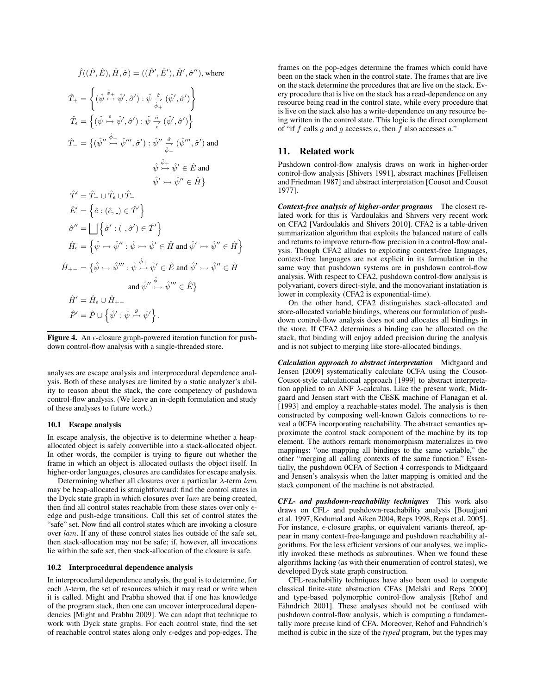$$
\hat{T}_{+} = \left\{ (\hat{\psi} \stackrel{\hat{\phi}_{+}}{\rightarrow} \hat{\psi}', \hat{\sigma}') : \hat{\psi} \stackrel{\hat{\sigma}}{\hat{\phi}_{+}} (\hat{\psi}', \hat{\sigma}') \right\}
$$
\n
$$
\hat{T}_{\epsilon} = \left\{ (\hat{\psi} \stackrel{\epsilon}{\rightarrow} \hat{\psi}', \hat{\sigma}') : \hat{\psi} \stackrel{\hat{\sigma}}{\epsilon} (\hat{\psi}', \hat{\sigma}') \right\}
$$
\n
$$
\hat{T}_{-} = \left\{ (\hat{\psi}'' \stackrel{\hat{\phi}_{-}}{\rightarrow} \hat{\psi}''', \hat{\sigma}') : \hat{\psi}'' \stackrel{\hat{\sigma}}{\hat{\phi}_{-}} (\hat{\psi}''', \hat{\sigma}') \text{ and }
$$
\n
$$
\hat{\psi} \stackrel{\hat{\phi}_{+}}{\rightarrow} \hat{\psi}' \in \hat{E} \text{ and }
$$
\n
$$
\hat{\psi}' \rightarrow \hat{\psi}'' \in \hat{H} \right\}
$$
\n
$$
\hat{T}' = \hat{T}_{+} \cup \hat{T}_{\epsilon} \cup \hat{T}_{-}
$$
\n
$$
\hat{E}' = \left\{ \hat{e} : (\hat{e}, -) \in \hat{T}' \right\}
$$
\n
$$
\hat{\sigma}'' = \bigsqcup \left\{ \hat{\sigma}' : (-\hat{\sigma}') \in \hat{T}' \right\}
$$
\n
$$
\hat{H}_{\epsilon} = \left\{ \hat{\psi} \rightarrow \hat{\psi}'' : \hat{\psi} \rightarrow \hat{\psi}' \in \hat{H} \text{ and } \hat{\psi}' \rightarrow \hat{\psi}'' \in \hat{H} \right\}
$$
\n
$$
\hat{H}_{+-} = \left\{ \hat{\psi} \rightarrow \hat{\psi}''' : \hat{\psi} \stackrel{\hat{\phi}_{+}}{\rightarrow} \hat{\psi}' \in \hat{E} \text{ and } \hat{\psi}' \rightarrow \hat{\psi}'' \in \hat{H} \right\}
$$
\n
$$
\text{and } \hat{\psi}'' \stackrel{\hat{\phi}_{-}}{\rightarrow} \hat{\psi}''' \in \hat{E} \right\}
$$
\n
$$
\hat{H}' = \hat{H}_{\epsilon} \cup \hat{H}_{+-}
$$
\n
$$
\hat{P}' = \hat{P} \cup \left\{ \hat{\psi}' : \hat{\psi} \stackrel{g}{\rightarrow} \hat{\psi}' \right\}.
$$

 $\hat{f}((\hat{P}, \hat{E}), \hat{H}, \hat{\sigma}) = ((\hat{P}', \hat{E}'), \hat{H}', \hat{\sigma}''),$  where

<span id="page-10-0"></span>Figure 4. An  $\epsilon$ -closure graph-powered iteration function for pushdown control-flow analysis with a single-threaded store.

analyses are escape analysis and interprocedural dependence analysis. Both of these analyses are limited by a static analyzer's ability to reason about the stack, the core competency of pushdown control-flow analysis. (We leave an in-depth formulation and study of these analyses to future work.)

#### 10.1 Escape analysis

In escape analysis, the objective is to determine whether a heapallocated object is safely convertible into a stack-allocated object. In other words, the compiler is trying to figure out whether the frame in which an object is allocated outlasts the object itself. In higher-order languages, closures are candidates for escape analysis.

Determining whether all closures over a particular  $\lambda$ -term lam may be heap-allocated is straightforward: find the control states in the Dyck state graph in which closures over lam are being created, then find all control states reachable from these states over only  $\epsilon$ edge and push-edge transitions. Call this set of control states the "safe" set. Now find all control states which are invoking a closure over lam. If any of these control states lies outside of the safe set, then stack-allocation may not be safe; if, however, all invocations lie within the safe set, then stack-allocation of the closure is safe.

# 10.2 Interprocedural dependence analysis

In interprocedural dependence analysis, the goal is to determine, for each  $\lambda$ -term, the set of resources which it may read or write when it is called. Might and Prabhu showed that if one has knowledge of the program stack, then one can uncover interprocedural dependencies [\[Might and Prabhu](#page-11-13) [2009\]](#page-11-13). We can adapt that technique to work with Dyck state graphs. For each control state, find the set of reachable control states along only  $\epsilon$ -edges and pop-edges. The frames on the pop-edges determine the frames which could have been on the stack when in the control state. The frames that are live on the stack determine the procedures that are live on the stack. Every procedure that is live on the stack has a read-dependence on any resource being read in the control state, while every procedure that is live on the stack also has a write-dependence on any resource being written in the control state. This logic is the direct complement of "if f calls g and g accesses a, then f also accesses a."

# 11. Related work

Pushdown control-flow analysis draws on work in higher-order control-flow analysis [\[Shivers](#page-11-0) [1991\]](#page-11-0), abstract machines [\[Felleisen](#page-11-2) [and Friedman](#page-11-2) [1987\]](#page-11-2) and abstract interpretation [\[Cousot and Cousot](#page-11-12) [1977\]](#page-11-12).

*Context-free analysis of higher-order programs* The closest related work for this is Vardoulakis and Shivers very recent work on CFA2 [\[Vardoulakis and Shivers](#page-11-1) [2010\]](#page-11-1). CFA2 is a table-driven summarization algorithm that exploits the balanced nature of calls and returns to improve return-flow precision in a control-flow analysis. Though CFA2 alludes to exploiting context-free languages, context-free languages are not explicit in its formulation in the same way that pushdown systems are in pushdown control-flow analysis. With respect to CFA2, pushdown control-flow analysis is polyvariant, covers direct-style, and the monovariant instatiation is lower in complexity (CFA2 is exponential-time).

On the other hand, CFA2 distinguishes stack-allocated and store-allocated variable bindings, whereas our formulation of pushdown control-flow analysis does not and allocates all bindings in the store. If CFA2 determines a binding can be allocated on the stack, that binding will enjoy added precision during the analysis and is not subject to merging like store-allocated bindings.

*Calculation approach to abstract interpretation* [Midtgaard and](#page-11-14) [Jensen](#page-11-14) [\[2009\]](#page-11-14) systematically calculate 0CFA using the Cousot-Cousot-style calculational approach [\[1999\]](#page-11-15) to abstract interpretation applied to an ANF  $\lambda$ -calculus. Like the present work, Midtgaard and Jensen start with the CESK machine of [Flanagan et al.](#page-11-3) [\[1993\]](#page-11-3) and employ a reachable-states model. The analysis is then constructed by composing well-known Galois connections to reveal a 0CFA incorporating reachability. The abstract semantics approximate the control stack component of the machine by its top element. The authors remark monomorphism materializes in two mappings: "one mapping all bindings to the same variable," the other "merging all calling contexts of the same function." Essentially, the pushdown 0CFA of Section [4](#page-3-1) corresponds to Midtgaard and Jensen's analsysis when the latter mapping is omitted and the stack component of the machine is not abstracted.

*CFL- and pushdown-reachability techniques* This work also draws on CFL- and pushdown-reachability analysis [\[Bouajjani](#page-11-5) [et al.](#page-11-5) [1997,](#page-11-5) [Kodumal and Aiken](#page-11-8) [2004,](#page-11-8) [Reps](#page-11-9) [1998,](#page-11-9) [Reps et al.](#page-11-10) [2005\]](#page-11-10). For instance,  $\epsilon$ -closure graphs, or equivalent variants thereof, appear in many context-free-language and pushdown reachability algorithms. For the less efficient versions of our analyses, we implicitly invoked these methods as subroutines. When we found these algorithms lacking (as with their enumeration of control states), we developed Dyck state graph construction.

CFL-reachability techniques have also been used to compute classical finite-state abstraction CFAs [\[Melski and Reps](#page-11-11) [2000\]](#page-11-11) and type-based polymorphic control-flow analysis [\[Rehof and](#page-11-16) Fähndrich [2001\]](#page-11-16). These analyses should not be confused with pushdown control-flow analysis, which is computing a fundamentally more precise kind of CFA. Moreover, Rehof and Fahndrich's method is cubic in the size of the *typed* program, but the types may